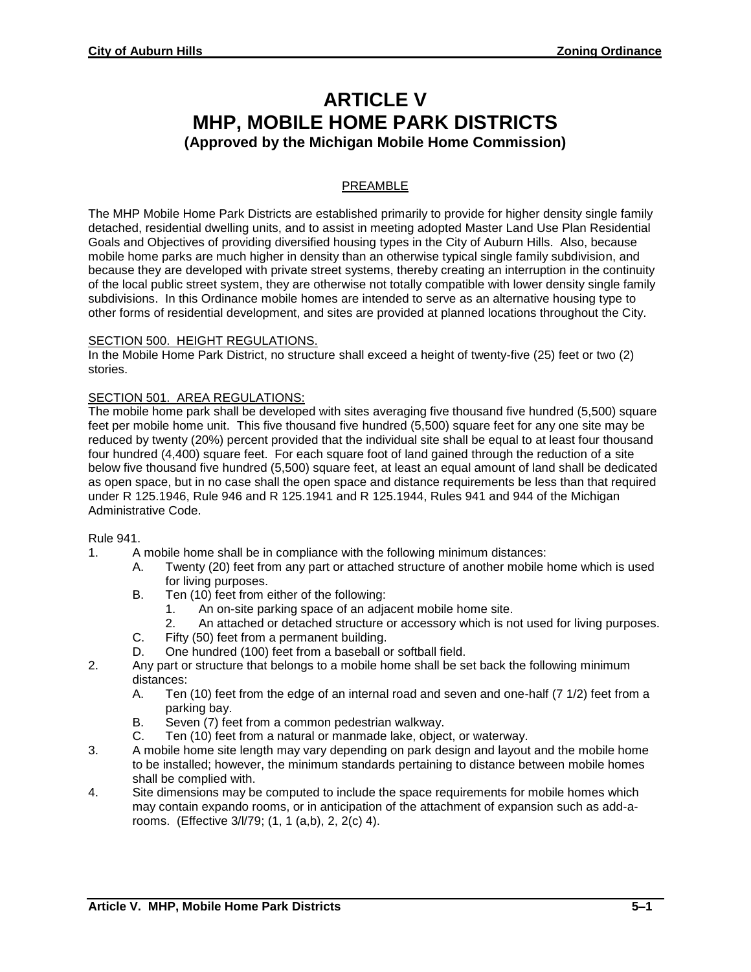# **ARTICLE V MHP, MOBILE HOME PARK DISTRICTS (Approved by the Michigan Mobile Home Commission)**

# PREAMBLE

The MHP Mobile Home Park Districts are established primarily to provide for higher density single family detached, residential dwelling units, and to assist in meeting adopted Master Land Use Plan Residential Goals and Objectives of providing diversified housing types in the City of Auburn Hills. Also, because mobile home parks are much higher in density than an otherwise typical single family subdivision, and because they are developed with private street systems, thereby creating an interruption in the continuity of the local public street system, they are otherwise not totally compatible with lower density single family subdivisions. In this Ordinance mobile homes are intended to serve as an alternative housing type to other forms of residential development, and sites are provided at planned locations throughout the City.

#### SECTION 500. HEIGHT REGULATIONS.

In the Mobile Home Park District, no structure shall exceed a height of twenty-five (25) feet or two (2) stories.

# SECTION 501. AREA REGULATIONS:

The mobile home park shall be developed with sites averaging five thousand five hundred (5,500) square feet per mobile home unit. This five thousand five hundred (5,500) square feet for any one site may be reduced by twenty (20%) percent provided that the individual site shall be equal to at least four thousand four hundred (4,400) square feet. For each square foot of land gained through the reduction of a site below five thousand five hundred (5,500) square feet, at least an equal amount of land shall be dedicated as open space, but in no case shall the open space and distance requirements be less than that required under R 125.1946, Rule 946 and R 125.1941 and R 125.1944, Rules 941 and 944 of the Michigan Administrative Code.

#### Rule 941.

- 1. A mobile home shall be in compliance with the following minimum distances:
	- A. Twenty (20) feet from any part or attached structure of another mobile home which is used for living purposes.
	- B. Ten (10) feet from either of the following:
		- 1. An on-site parking space of an adjacent mobile home site.
		- 2. An attached or detached structure or accessory which is not used for living purposes.
	- C. Fifty (50) feet from a permanent building.
	- D. One hundred (100) feet from a baseball or softball field.
- 2. Any part or structure that belongs to a mobile home shall be set back the following minimum distances:
	- A. Ten (10) feet from the edge of an internal road and seven and one-half (7 1/2) feet from a parking bay.
	- B. Seven (7) feet from a common pedestrian walkway.
	- C. Ten (10) feet from a natural or manmade lake, object, or waterway.
- 3. A mobile home site length may vary depending on park design and layout and the mobile home to be installed; however, the minimum standards pertaining to distance between mobile homes shall be complied with.
- 4. Site dimensions may be computed to include the space requirements for mobile homes which may contain expando rooms, or in anticipation of the attachment of expansion such as add-arooms. (Effective 3/l/79; (1, 1 (a,b), 2, 2(c) 4).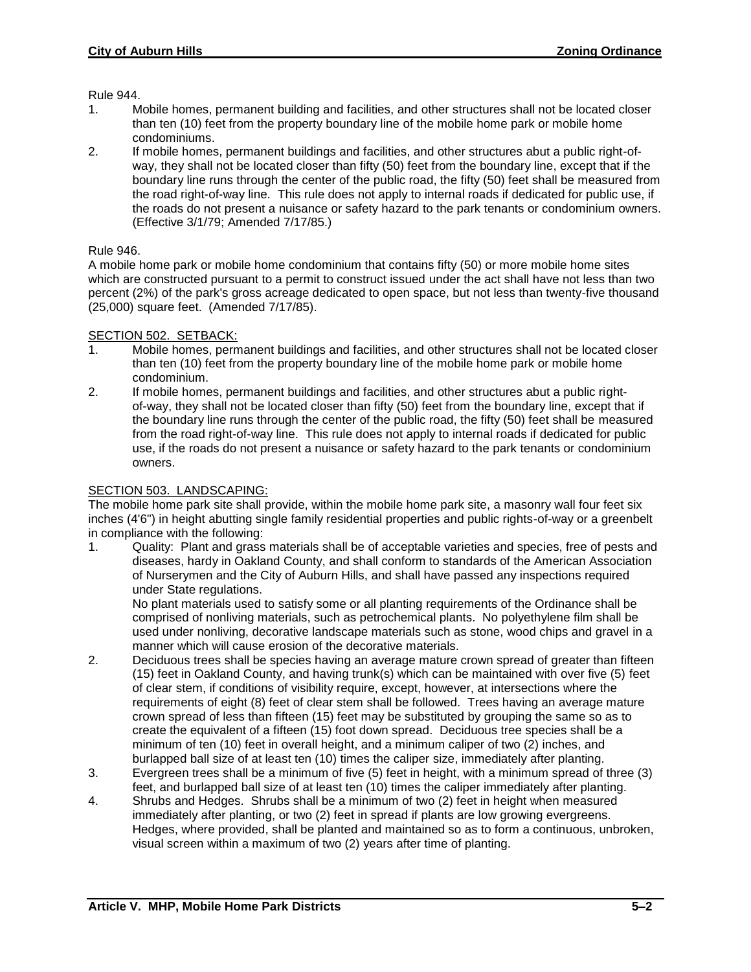Rule 944.

- 1. Mobile homes, permanent building and facilities, and other structures shall not be located closer than ten (10) feet from the property boundary line of the mobile home park or mobile home condominiums.
- 2. If mobile homes, permanent buildings and facilities, and other structures abut a public right-ofway, they shall not be located closer than fifty (50) feet from the boundary line, except that if the boundary line runs through the center of the public road, the fifty (50) feet shall be measured from the road right-of-way line. This rule does not apply to internal roads if dedicated for public use, if the roads do not present a nuisance or safety hazard to the park tenants or condominium owners. (Effective 3/1/79; Amended 7/17/85.)

# Rule 946.

A mobile home park or mobile home condominium that contains fifty (50) or more mobile home sites which are constructed pursuant to a permit to construct issued under the act shall have not less than two percent (2%) of the park's gross acreage dedicated to open space, but not less than twenty-five thousand (25,000) square feet. (Amended 7/17/85).

#### SECTION 502. SETBACK:

- 1. Mobile homes, permanent buildings and facilities, and other structures shall not be located closer than ten (10) feet from the property boundary line of the mobile home park or mobile home condominium.
- 2. If mobile homes, permanent buildings and facilities, and other structures abut a public rightof-way, they shall not be located closer than fifty (50) feet from the boundary line, except that if the boundary line runs through the center of the public road, the fifty (50) feet shall be measured from the road right-of-way line. This rule does not apply to internal roads if dedicated for public use, if the roads do not present a nuisance or safety hazard to the park tenants or condominium owners.

#### SECTION 503. LANDSCAPING:

The mobile home park site shall provide, within the mobile home park site, a masonry wall four feet six inches (4'6") in height abutting single family residential properties and public rights-of-way or a greenbelt in compliance with the following:

1. Quality: Plant and grass materials shall be of acceptable varieties and species, free of pests and diseases, hardy in Oakland County, and shall conform to standards of the American Association of Nurserymen and the City of Auburn Hills, and shall have passed any inspections required under State regulations.

No plant materials used to satisfy some or all planting requirements of the Ordinance shall be comprised of nonliving materials, such as petrochemical plants. No polyethylene film shall be used under nonliving, decorative landscape materials such as stone, wood chips and gravel in a manner which will cause erosion of the decorative materials.

- 2. Deciduous trees shall be species having an average mature crown spread of greater than fifteen (15) feet in Oakland County, and having trunk(s) which can be maintained with over five (5) feet of clear stem, if conditions of visibility require, except, however, at intersections where the requirements of eight (8) feet of clear stem shall be followed. Trees having an average mature crown spread of less than fifteen (15) feet may be substituted by grouping the same so as to create the equivalent of a fifteen (15) foot down spread. Deciduous tree species shall be a minimum of ten (10) feet in overall height, and a minimum caliper of two (2) inches, and burlapped ball size of at least ten (10) times the caliper size, immediately after planting.
- 3. Evergreen trees shall be a minimum of five (5) feet in height, with a minimum spread of three (3) feet, and burlapped ball size of at least ten (10) times the caliper immediately after planting.
- 4. Shrubs and Hedges. Shrubs shall be a minimum of two (2) feet in height when measured immediately after planting, or two (2) feet in spread if plants are low growing evergreens. Hedges, where provided, shall be planted and maintained so as to form a continuous, unbroken, visual screen within a maximum of two (2) years after time of planting.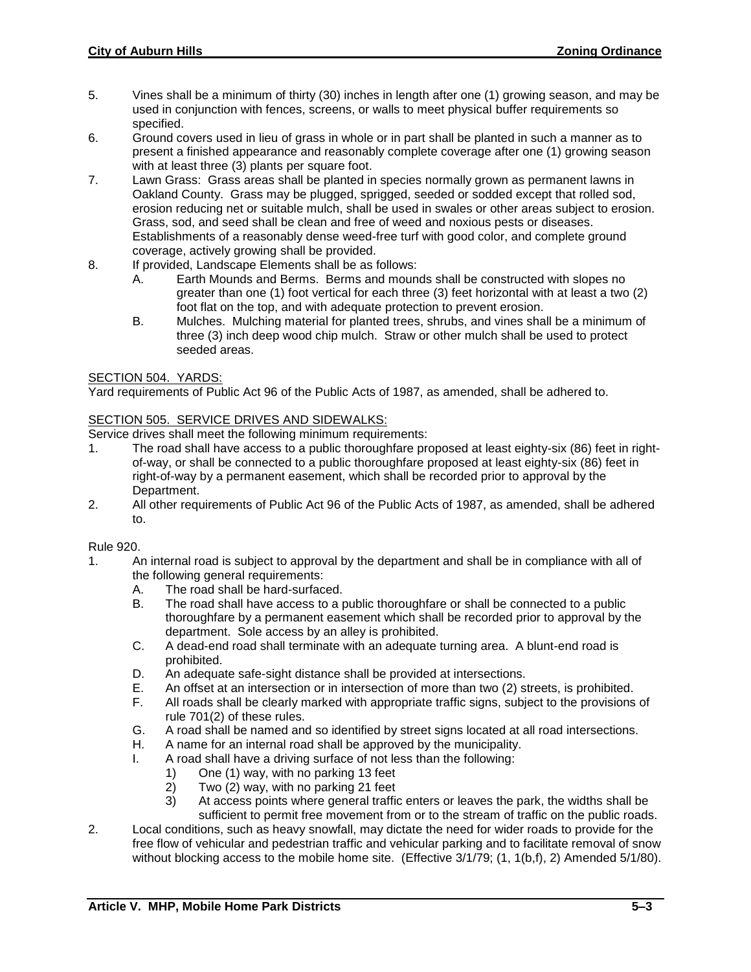- 5. Vines shall be a minimum of thirty (30) inches in length after one (1) growing season, and may be used in conjunction with fences, screens, or walls to meet physical buffer requirements so specified.
- 6. Ground covers used in lieu of grass in whole or in part shall be planted in such a manner as to present a finished appearance and reasonably complete coverage after one (1) growing season with at least three (3) plants per square foot.
- 7. Lawn Grass: Grass areas shall be planted in species normally grown as permanent lawns in Oakland County. Grass may be plugged, sprigged, seeded or sodded except that rolled sod, erosion reducing net or suitable mulch, shall be used in swales or other areas subject to erosion. Grass, sod, and seed shall be clean and free of weed and noxious pests or diseases. Establishments of a reasonably dense weed-free turf with good color, and complete ground coverage, actively growing shall be provided.
- 8. If provided, Landscape Elements shall be as follows:
	- A. Earth Mounds and Berms. Berms and mounds shall be constructed with slopes no greater than one (1) foot vertical for each three (3) feet horizontal with at least a two (2) foot flat on the top, and with adequate protection to prevent erosion.
	- B. Mulches. Mulching material for planted trees, shrubs, and vines shall be a minimum of three (3) inch deep wood chip mulch. Straw or other mulch shall be used to protect seeded areas.

# SECTION 504. YARDS:

Yard requirements of Public Act 96 of the Public Acts of 1987, as amended, shall be adhered to.

#### SECTION 505. SERVICE DRIVES AND SIDEWALKS:

Service drives shall meet the following minimum requirements:

- 1. The road shall have access to a public thoroughfare proposed at least eighty-six (86) feet in rightof-way, or shall be connected to a public thoroughfare proposed at least eighty-six (86) feet in right-of-way by a permanent easement, which shall be recorded prior to approval by the Department.
- 2. All other requirements of Public Act 96 of the Public Acts of 1987, as amended, shall be adhered to.

#### Rule 920.

- 1. An internal road is subject to approval by the department and shall be in compliance with all of the following general requirements:
	- A. The road shall be hard-surfaced.
	- B. The road shall have access to a public thoroughfare or shall be connected to a public thoroughfare by a permanent easement which shall be recorded prior to approval by the department. Sole access by an alley is prohibited.
	- C. A dead-end road shall terminate with an adequate turning area. A blunt-end road is prohibited.
	- D. An adequate safe-sight distance shall be provided at intersections.
	- E. An offset at an intersection or in intersection of more than two (2) streets, is prohibited.
	- F. All roads shall be clearly marked with appropriate traffic signs, subject to the provisions of rule 701(2) of these rules.
	- G. A road shall be named and so identified by street signs located at all road intersections.
	- H. A name for an internal road shall be approved by the municipality.
	- I. A road shall have a driving surface of not less than the following:
		- 1) One (1) way, with no parking 13 feet
		- 2) Two (2) way, with no parking 21 feet
		- 3) At access points where general traffic enters or leaves the park, the widths shall be sufficient to permit free movement from or to the stream of traffic on the public roads.
- 2. Local conditions, such as heavy snowfall, may dictate the need for wider roads to provide for the free flow of vehicular and pedestrian traffic and vehicular parking and to facilitate removal of snow without blocking access to the mobile home site. (Effective 3/1/79; (1, 1(b,f), 2) Amended 5/1/80).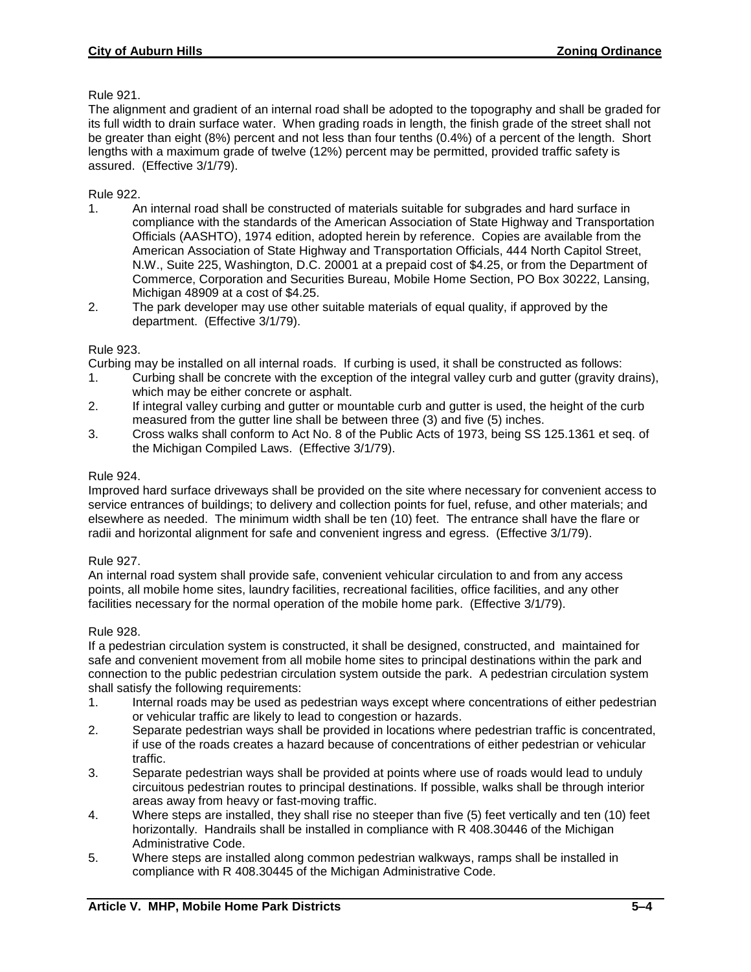# Rule 921.

The alignment and gradient of an internal road shall be adopted to the topography and shall be graded for its full width to drain surface water. When grading roads in length, the finish grade of the street shall not be greater than eight (8%) percent and not less than four tenths (0.4%) of a percent of the length. Short lengths with a maximum grade of twelve (12%) percent may be permitted, provided traffic safety is assured. (Effective 3/1/79).

# Rule 922.

- 1. An internal road shall be constructed of materials suitable for subgrades and hard surface in compliance with the standards of the American Association of State Highway and Transportation Officials (AASHTO), 1974 edition, adopted herein by reference. Copies are available from the American Association of State Highway and Transportation Officials, 444 North Capitol Street, N.W., Suite 225, Washington, D.C. 20001 at a prepaid cost of \$4.25, or from the Department of Commerce, Corporation and Securities Bureau, Mobile Home Section, PO Box 30222, Lansing, Michigan 48909 at a cost of \$4.25.
- 2. The park developer may use other suitable materials of equal quality, if approved by the department. (Effective 3/1/79).

# Rule 923.

Curbing may be installed on all internal roads. If curbing is used, it shall be constructed as follows:

- 1. Curbing shall be concrete with the exception of the integral valley curb and gutter (gravity drains), which may be either concrete or asphalt.
- 2. If integral valley curbing and gutter or mountable curb and gutter is used, the height of the curb measured from the gutter line shall be between three (3) and five (5) inches.
- 3. Cross walks shall conform to Act No. 8 of the Public Acts of 1973, being SS 125.1361 et seq. of the Michigan Compiled Laws. (Effective 3/1/79).

# Rule 924.

Improved hard surface driveways shall be provided on the site where necessary for convenient access to service entrances of buildings; to delivery and collection points for fuel, refuse, and other materials; and elsewhere as needed. The minimum width shall be ten (10) feet. The entrance shall have the flare or radii and horizontal alignment for safe and convenient ingress and egress. (Effective 3/1/79).

# Rule 927.

An internal road system shall provide safe, convenient vehicular circulation to and from any access points, all mobile home sites, laundry facilities, recreational facilities, office facilities, and any other facilities necessary for the normal operation of the mobile home park. (Effective 3/1/79).

# Rule 928.

If a pedestrian circulation system is constructed, it shall be designed, constructed, and maintained for safe and convenient movement from all mobile home sites to principal destinations within the park and connection to the public pedestrian circulation system outside the park. A pedestrian circulation system shall satisfy the following requirements:

- 1. Internal roads may be used as pedestrian ways except where concentrations of either pedestrian or vehicular traffic are likely to lead to congestion or hazards.
- 2. Separate pedestrian ways shall be provided in locations where pedestrian traffic is concentrated, if use of the roads creates a hazard because of concentrations of either pedestrian or vehicular traffic.
- 3. Separate pedestrian ways shall be provided at points where use of roads would lead to unduly circuitous pedestrian routes to principal destinations. If possible, walks shall be through interior areas away from heavy or fast-moving traffic.
- 4. Where steps are installed, they shall rise no steeper than five (5) feet vertically and ten (10) feet horizontally. Handrails shall be installed in compliance with R 408.30446 of the Michigan Administrative Code.
- 5. Where steps are installed along common pedestrian walkways, ramps shall be installed in compliance with R 408.30445 of the Michigan Administrative Code.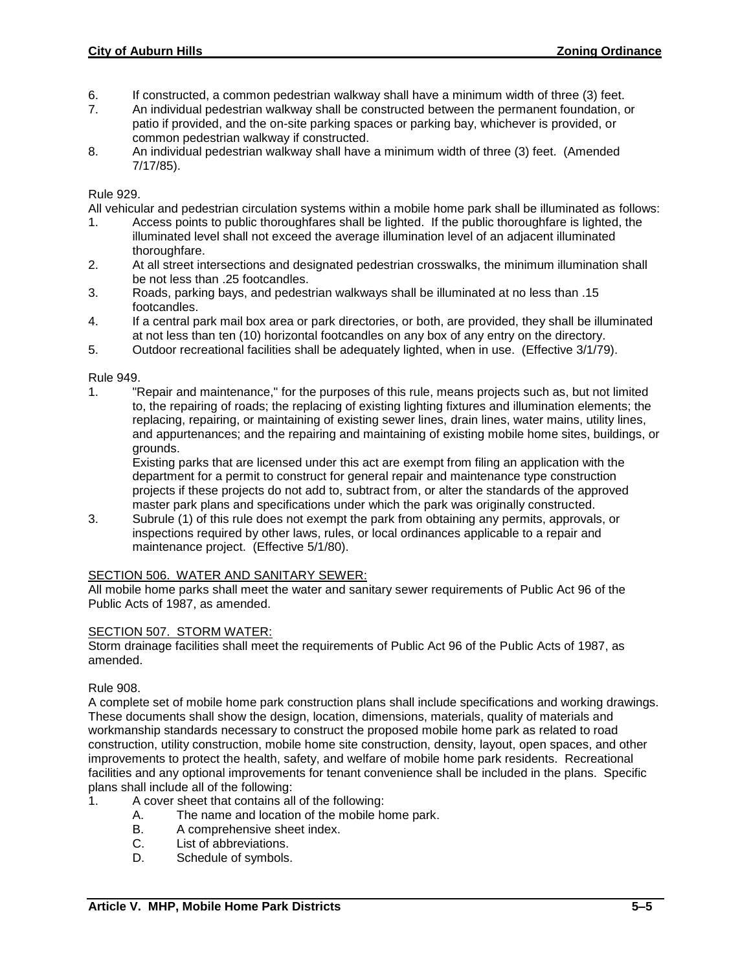- 6. If constructed, a common pedestrian walkway shall have a minimum width of three (3) feet.
- 7. An individual pedestrian walkway shall be constructed between the permanent foundation, or patio if provided, and the on-site parking spaces or parking bay, whichever is provided, or common pedestrian walkway if constructed.
- 8. An individual pedestrian walkway shall have a minimum width of three (3) feet. (Amended 7/17/85).

#### Rule 929.

All vehicular and pedestrian circulation systems within a mobile home park shall be illuminated as follows:

- 1. Access points to public thoroughfares shall be lighted. If the public thoroughfare is lighted, the illuminated level shall not exceed the average illumination level of an adjacent illuminated thoroughfare.
- 2. At all street intersections and designated pedestrian crosswalks, the minimum illumination shall be not less than .25 footcandles.
- 3. Roads, parking bays, and pedestrian walkways shall be illuminated at no less than .15 footcandles.
- 4. If a central park mail box area or park directories, or both, are provided, they shall be illuminated at not less than ten (10) horizontal footcandles on any box of any entry on the directory.
- 5. Outdoor recreational facilities shall be adequately lighted, when in use. (Effective 3/1/79).

#### Rule 949.

1. "Repair and maintenance," for the purposes of this rule, means projects such as, but not limited to, the repairing of roads; the replacing of existing lighting fixtures and illumination elements; the replacing, repairing, or maintaining of existing sewer lines, drain lines, water mains, utility lines, and appurtenances; and the repairing and maintaining of existing mobile home sites, buildings, or grounds.

Existing parks that are licensed under this act are exempt from filing an application with the department for a permit to construct for general repair and maintenance type construction projects if these projects do not add to, subtract from, or alter the standards of the approved master park plans and specifications under which the park was originally constructed.

3. Subrule (1) of this rule does not exempt the park from obtaining any permits, approvals, or inspections required by other laws, rules, or local ordinances applicable to a repair and maintenance project. (Effective 5/1/80).

# SECTION 506. WATER AND SANITARY SEWER:

All mobile home parks shall meet the water and sanitary sewer requirements of Public Act 96 of the Public Acts of 1987, as amended.

#### SECTION 507. STORM WATER:

Storm drainage facilities shall meet the requirements of Public Act 96 of the Public Acts of 1987, as amended.

#### Rule 908.

A complete set of mobile home park construction plans shall include specifications and working drawings. These documents shall show the design, location, dimensions, materials, quality of materials and workmanship standards necessary to construct the proposed mobile home park as related to road construction, utility construction, mobile home site construction, density, layout, open spaces, and other improvements to protect the health, safety, and welfare of mobile home park residents. Recreational facilities and any optional improvements for tenant convenience shall be included in the plans. Specific plans shall include all of the following:

- 1. A cover sheet that contains all of the following:
	- A. The name and location of the mobile home park.
	- B. A comprehensive sheet index.
	- C. List of abbreviations.
	- D. Schedule of symbols.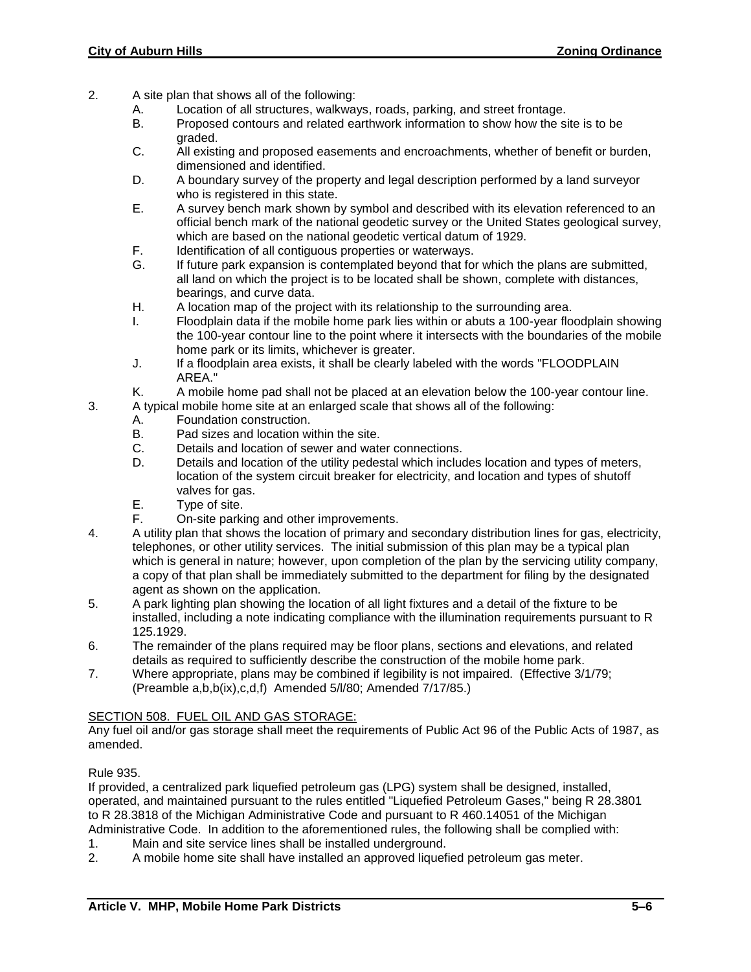- 2. A site plan that shows all of the following:
	- A. Location of all structures, walkways, roads, parking, and street frontage.
	- B. Proposed contours and related earthwork information to show how the site is to be graded.
	- C. All existing and proposed easements and encroachments, whether of benefit or burden, dimensioned and identified.
	- D. A boundary survey of the property and legal description performed by a land surveyor who is registered in this state.
	- E. A survey bench mark shown by symbol and described with its elevation referenced to an official bench mark of the national geodetic survey or the United States geological survey, which are based on the national geodetic vertical datum of 1929.
	- F. Identification of all contiguous properties or waterways.<br>G. If future park expansion is contemplated bevond that fo
	- If future park expansion is contemplated beyond that for which the plans are submitted, all land on which the project is to be located shall be shown, complete with distances, bearings, and curve data.
	- H. A location map of the project with its relationship to the surrounding area.
	- I. Floodplain data if the mobile home park lies within or abuts a 100-year floodplain showing the 100-year contour line to the point where it intersects with the boundaries of the mobile home park or its limits, whichever is greater.
	- J. If a floodplain area exists, it shall be clearly labeled with the words "FLOODPLAIN AREA."
	- K. A mobile home pad shall not be placed at an elevation below the 100-year contour line.
- 3. A typical mobile home site at an enlarged scale that shows all of the following:
	- A. Foundation construction.
	- B. Pad sizes and location within the site.
	- C. Details and location of sewer and water connections.
	- D. Details and location of the utility pedestal which includes location and types of meters, location of the system circuit breaker for electricity, and location and types of shutoff valves for gas.
	- E. Type of site.
	- F. On-site parking and other improvements.
- 4. A utility plan that shows the location of primary and secondary distribution lines for gas, electricity, telephones, or other utility services. The initial submission of this plan may be a typical plan which is general in nature; however, upon completion of the plan by the servicing utility company, a copy of that plan shall be immediately submitted to the department for filing by the designated agent as shown on the application.
- 5. A park lighting plan showing the location of all light fixtures and a detail of the fixture to be installed, including a note indicating compliance with the illumination requirements pursuant to R 125.1929.
- 6. The remainder of the plans required may be floor plans, sections and elevations, and related details as required to sufficiently describe the construction of the mobile home park.
- 7. Where appropriate, plans may be combined if legibility is not impaired. (Effective 3/1/79; (Preamble a,b,b(ix),c,d,f) Amended 5/l/80; Amended 7/17/85.)

# SECTION 508. FUEL OIL AND GAS STORAGE:

Any fuel oil and/or gas storage shall meet the requirements of Public Act 96 of the Public Acts of 1987, as amended.

# Rule 935.

If provided, a centralized park liquefied petroleum gas (LPG) system shall be designed, installed, operated, and maintained pursuant to the rules entitled "Liquefied Petroleum Gases," being R 28.3801 to R 28.3818 of the Michigan Administrative Code and pursuant to R 460.14051 of the Michigan Administrative Code. In addition to the aforementioned rules, the following shall be complied with:

- 1. Main and site service lines shall be installed underground.<br>2. A mobile home site shall have installed an approved liquef
- A mobile home site shall have installed an approved liquefied petroleum gas meter.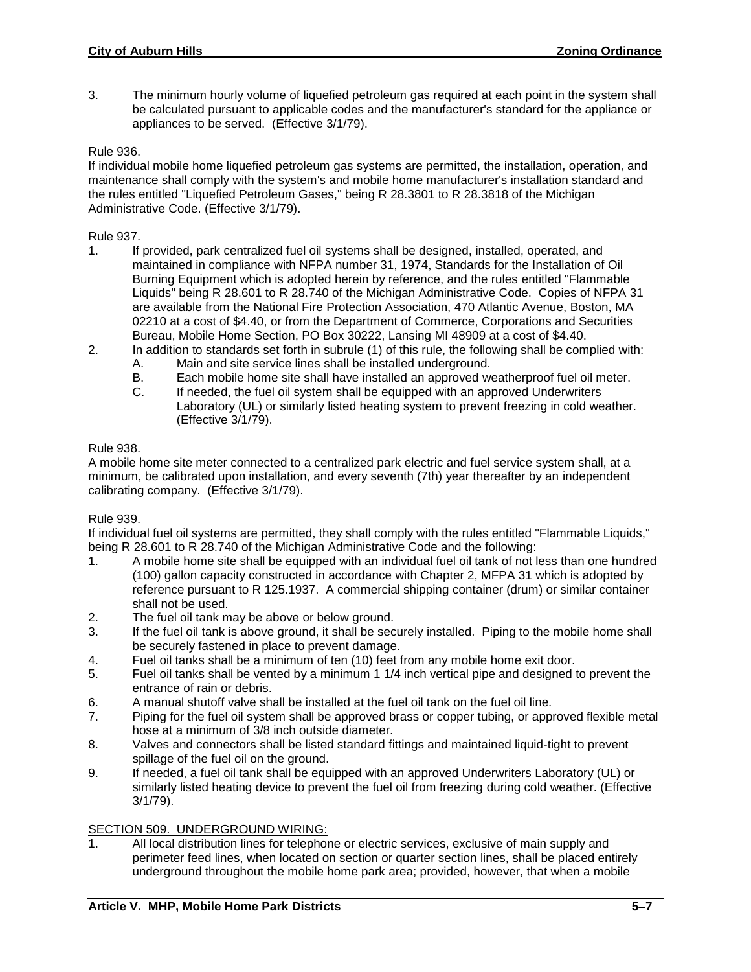3. The minimum hourly volume of liquefied petroleum gas required at each point in the system shall be calculated pursuant to applicable codes and the manufacturer's standard for the appliance or appliances to be served. (Effective 3/1/79).

# Rule 936.

If individual mobile home liquefied petroleum gas systems are permitted, the installation, operation, and maintenance shall comply with the system's and mobile home manufacturer's installation standard and the rules entitled "Liquefied Petroleum Gases," being R 28.3801 to R 28.3818 of the Michigan Administrative Code. (Effective 3/1/79).

- Rule 937.<br>1. If If provided, park centralized fuel oil systems shall be designed, installed, operated, and maintained in compliance with NFPA number 31, 1974, Standards for the Installation of Oil Burning Equipment which is adopted herein by reference, and the rules entitled "Flammable Liquids" being R 28.601 to R 28.740 of the Michigan Administrative Code. Copies of NFPA 31 are available from the National Fire Protection Association, 470 Atlantic Avenue, Boston, MA 02210 at a cost of \$4.40, or from the Department of Commerce, Corporations and Securities Bureau, Mobile Home Section, PO Box 30222, Lansing MI 48909 at a cost of \$4.40.
- 2. In addition to standards set forth in subrule (1) of this rule, the following shall be complied with:
	- A. Main and site service lines shall be installed underground.<br>B. Each mobile home site shall have installed an approved we
	- Each mobile home site shall have installed an approved weatherproof fuel oil meter.
	- C. If needed, the fuel oil system shall be equipped with an approved Underwriters Laboratory (UL) or similarly listed heating system to prevent freezing in cold weather. (Effective 3/1/79).

# Rule 938.

A mobile home site meter connected to a centralized park electric and fuel service system shall, at a minimum, be calibrated upon installation, and every seventh (7th) year thereafter by an independent calibrating company. (Effective 3/1/79).

# Rule 939.

If individual fuel oil systems are permitted, they shall comply with the rules entitled "Flammable Liquids," being R 28.601 to R 28.740 of the Michigan Administrative Code and the following:

- 1. A mobile home site shall be equipped with an individual fuel oil tank of not less than one hundred (100) gallon capacity constructed in accordance with Chapter 2, MFPA 31 which is adopted by reference pursuant to R 125.1937. A commercial shipping container (drum) or similar container shall not be used.
- 2. The fuel oil tank may be above or below ground.
- 3. If the fuel oil tank is above ground, it shall be securely installed. Piping to the mobile home shall be securely fastened in place to prevent damage.
- 4. Fuel oil tanks shall be a minimum of ten (10) feet from any mobile home exit door.
- 5. Fuel oil tanks shall be vented by a minimum 1 1/4 inch vertical pipe and designed to prevent the entrance of rain or debris.
- 6. A manual shutoff valve shall be installed at the fuel oil tank on the fuel oil line.
- 7. Piping for the fuel oil system shall be approved brass or copper tubing, or approved flexible metal hose at a minimum of 3/8 inch outside diameter.
- 8. Valves and connectors shall be listed standard fittings and maintained liquid-tight to prevent spillage of the fuel oil on the ground.
- 9. If needed, a fuel oil tank shall be equipped with an approved Underwriters Laboratory (UL) or similarly listed heating device to prevent the fuel oil from freezing during cold weather. (Effective 3/1/79).

# SECTION 509. UNDERGROUND WIRING:

1. All local distribution lines for telephone or electric services, exclusive of main supply and perimeter feed lines, when located on section or quarter section lines, shall be placed entirely underground throughout the mobile home park area; provided, however, that when a mobile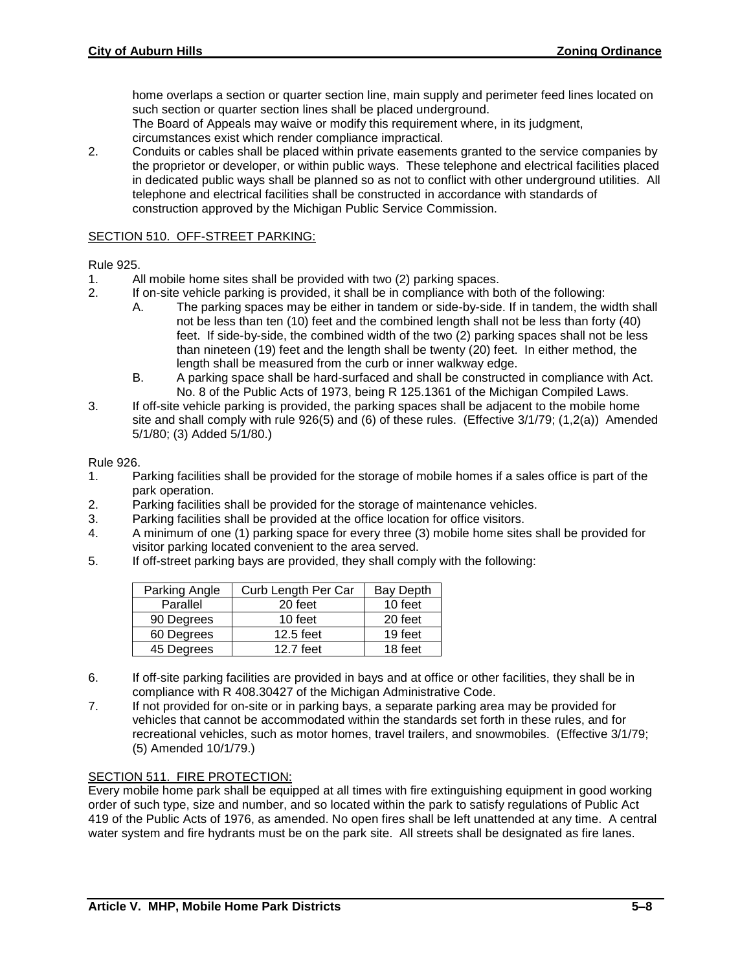home overlaps a section or quarter section line, main supply and perimeter feed lines located on such section or quarter section lines shall be placed underground.

The Board of Appeals may waive or modify this requirement where, in its judgment, circumstances exist which render compliance impractical.

2. Conduits or cables shall be placed within private easements granted to the service companies by the proprietor or developer, or within public ways. These telephone and electrical facilities placed in dedicated public ways shall be planned so as not to conflict with other underground utilities. All telephone and electrical facilities shall be constructed in accordance with standards of construction approved by the Michigan Public Service Commission.

#### SECTION 510. OFF-STREET PARKING:

#### Rule 925.

- 1. All mobile home sites shall be provided with two (2) parking spaces.
- 2. If on-site vehicle parking is provided, it shall be in compliance with both of the following:
	- A. The parking spaces may be either in tandem or side-by-side. If in tandem, the width shall not be less than ten (10) feet and the combined length shall not be less than forty (40) feet. If side-by-side, the combined width of the two (2) parking spaces shall not be less than nineteen (19) feet and the length shall be twenty (20) feet. In either method, the length shall be measured from the curb or inner walkway edge.
	- B. A parking space shall be hard-surfaced and shall be constructed in compliance with Act. No. 8 of the Public Acts of 1973, being R 125.1361 of the Michigan Compiled Laws.
- 3. If off-site vehicle parking is provided, the parking spaces shall be adjacent to the mobile home site and shall comply with rule 926(5) and (6) of these rules. (Effective 3/1/79; (1,2(a)) Amended 5/1/80; (3) Added 5/1/80.)

#### Rule 926.

- 1. Parking facilities shall be provided for the storage of mobile homes if a sales office is part of the park operation.
- 2. Parking facilities shall be provided for the storage of maintenance vehicles.
- 3. Parking facilities shall be provided at the office location for office visitors.
- 4. A minimum of one (1) parking space for every three (3) mobile home sites shall be provided for visitor parking located convenient to the area served.
- 5. If off-street parking bays are provided, they shall comply with the following:

| Parking Angle | Curb Length Per Car | Bay Depth |
|---------------|---------------------|-----------|
| Parallel      | 20 feet             | 10 feet   |
| 90 Degrees    | 10 feet             | 20 feet   |
| 60 Degrees    | 12.5 feet           | 19 feet   |
| 45 Degrees    | 12.7 feet           | 18 feet   |

- 6. If off-site parking facilities are provided in bays and at office or other facilities, they shall be in compliance with R 408.30427 of the Michigan Administrative Code.
- 7. If not provided for on-site or in parking bays, a separate parking area may be provided for vehicles that cannot be accommodated within the standards set forth in these rules, and for recreational vehicles, such as motor homes, travel trailers, and snowmobiles. (Effective 3/1/79; (5) Amended 10/1/79.)

# SECTION 511. FIRE PROTECTION:

Every mobile home park shall be equipped at all times with fire extinguishing equipment in good working order of such type, size and number, and so located within the park to satisfy regulations of Public Act 419 of the Public Acts of 1976, as amended. No open fires shall be left unattended at any time. A central water system and fire hydrants must be on the park site. All streets shall be designated as fire lanes.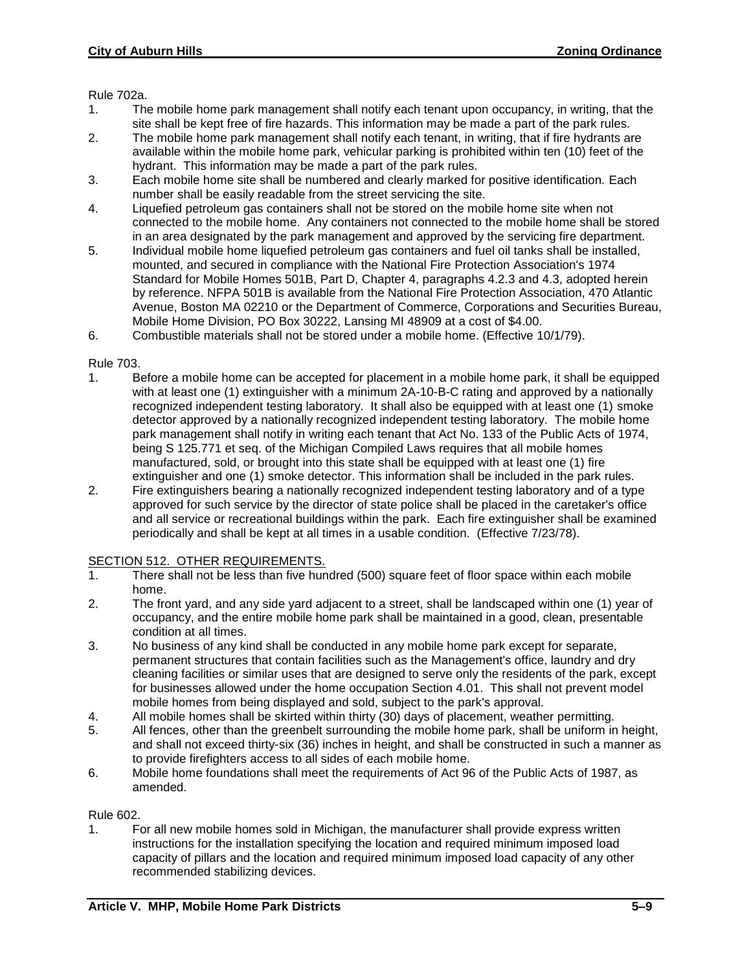Rule 702a.

- 1. The mobile home park management shall notify each tenant upon occupancy, in writing, that the site shall be kept free of fire hazards. This information may be made a part of the park rules.
- 2. The mobile home park management shall notify each tenant, in writing, that if fire hydrants are available within the mobile home park, vehicular parking is prohibited within ten (10) feet of the hydrant. This information may be made a part of the park rules.
- 3. Each mobile home site shall be numbered and clearly marked for positive identification. Each number shall be easily readable from the street servicing the site.
- 4. Liquefied petroleum gas containers shall not be stored on the mobile home site when not connected to the mobile home. Any containers not connected to the mobile home shall be stored in an area designated by the park management and approved by the servicing fire department.
- 5. Individual mobile home liquefied petroleum gas containers and fuel oil tanks shall be installed, mounted, and secured in compliance with the National Fire Protection Association's 1974 Standard for Mobile Homes 501B, Part D, Chapter 4, paragraphs 4.2.3 and 4.3, adopted herein by reference. NFPA 501B is available from the National Fire Protection Association, 470 Atlantic Avenue, Boston MA 02210 or the Department of Commerce, Corporations and Securities Bureau, Mobile Home Division, PO Box 30222, Lansing MI 48909 at a cost of \$4.00.
- 6. Combustible materials shall not be stored under a mobile home. (Effective 10/1/79).

#### Rule 703.

- 1. Before a mobile home can be accepted for placement in a mobile home park, it shall be equipped with at least one (1) extinguisher with a minimum 2A-10-B-C rating and approved by a nationally recognized independent testing laboratory. It shall also be equipped with at least one (1) smoke detector approved by a nationally recognized independent testing laboratory. The mobile home park management shall notify in writing each tenant that Act No. 133 of the Public Acts of 1974, being S 125.771 et seq. of the Michigan Compiled Laws requires that all mobile homes manufactured, sold, or brought into this state shall be equipped with at least one (1) fire extinguisher and one (1) smoke detector. This information shall be included in the park rules.
- 2. Fire extinguishers bearing a nationally recognized independent testing laboratory and of a type approved for such service by the director of state police shall be placed in the caretaker's office and all service or recreational buildings within the park. Each fire extinguisher shall be examined periodically and shall be kept at all times in a usable condition. (Effective 7/23/78).

# SECTION 512. OTHER REQUIREMENTS.

- 1. There shall not be less than five hundred (500) square feet of floor space within each mobile home.
- 2. The front yard, and any side yard adjacent to a street, shall be landscaped within one (1) year of occupancy, and the entire mobile home park shall be maintained in a good, clean, presentable condition at all times.
- 3. No business of any kind shall be conducted in any mobile home park except for separate, permanent structures that contain facilities such as the Management's office, laundry and dry cleaning facilities or similar uses that are designed to serve only the residents of the park, except for businesses allowed under the home occupation Section 4.01. This shall not prevent model mobile homes from being displayed and sold, subject to the park's approval.
- 4. All mobile homes shall be skirted within thirty (30) days of placement, weather permitting.
- 5. All fences, other than the greenbelt surrounding the mobile home park, shall be uniform in height, and shall not exceed thirty-six (36) inches in height, and shall be constructed in such a manner as to provide firefighters access to all sides of each mobile home.
- 6. Mobile home foundations shall meet the requirements of Act 96 of the Public Acts of 1987, as amended.

Rule 602.

1. For all new mobile homes sold in Michigan, the manufacturer shall provide express written instructions for the installation specifying the location and required minimum imposed load capacity of pillars and the location and required minimum imposed load capacity of any other recommended stabilizing devices.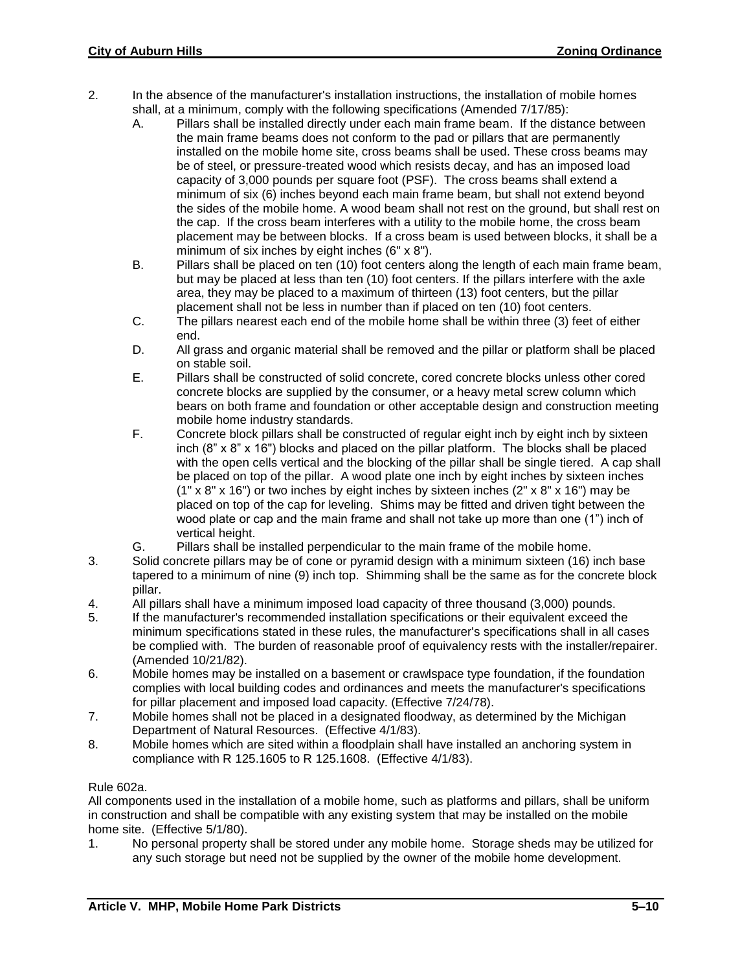- 2. In the absence of the manufacturer's installation instructions, the installation of mobile homes shall, at a minimum, comply with the following specifications (Amended 7/17/85):
	- A. Pillars shall be installed directly under each main frame beam. If the distance between the main frame beams does not conform to the pad or pillars that are permanently installed on the mobile home site, cross beams shall be used. These cross beams may be of steel, or pressure-treated wood which resists decay, and has an imposed load capacity of 3,000 pounds per square foot (PSF). The cross beams shall extend a minimum of six (6) inches beyond each main frame beam, but shall not extend beyond the sides of the mobile home. A wood beam shall not rest on the ground, but shall rest on the cap. If the cross beam interferes with a utility to the mobile home, the cross beam placement may be between blocks. If a cross beam is used between blocks, it shall be a minimum of six inches by eight inches (6" x 8").
	- B. Pillars shall be placed on ten (10) foot centers along the length of each main frame beam, but may be placed at less than ten (10) foot centers. If the pillars interfere with the axle area, they may be placed to a maximum of thirteen (13) foot centers, but the pillar placement shall not be less in number than if placed on ten (10) foot centers.
	- C. The pillars nearest each end of the mobile home shall be within three (3) feet of either end.
	- D. All grass and organic material shall be removed and the pillar or platform shall be placed on stable soil.
	- E. Pillars shall be constructed of solid concrete, cored concrete blocks unless other cored concrete blocks are supplied by the consumer, or a heavy metal screw column which bears on both frame and foundation or other acceptable design and construction meeting mobile home industry standards.
	- F. Concrete block pillars shall be constructed of regular eight inch by eight inch by sixteen inch (8" x 8" x 16") blocks and placed on the pillar platform. The blocks shall be placed with the open cells vertical and the blocking of the pillar shall be single tiered. A cap shall be placed on top of the pillar. A wood plate one inch by eight inches by sixteen inches  $(1" \times 8" \times 16")$  or two inches by eight inches by sixteen inches  $(2" \times 8" \times 16")$  may be placed on top of the cap for leveling. Shims may be fitted and driven tight between the wood plate or cap and the main frame and shall not take up more than one (1") inch of vertical height.
	- G. Pillars shall be installed perpendicular to the main frame of the mobile home.
- 3. Solid concrete pillars may be of cone or pyramid design with a minimum sixteen (16) inch base tapered to a minimum of nine (9) inch top. Shimming shall be the same as for the concrete block pillar.
- 4. All pillars shall have a minimum imposed load capacity of three thousand (3,000) pounds.
- 5. If the manufacturer's recommended installation specifications or their equivalent exceed the minimum specifications stated in these rules, the manufacturer's specifications shall in all cases be complied with. The burden of reasonable proof of equivalency rests with the installer/repairer. (Amended 10/21/82).
- 6. Mobile homes may be installed on a basement or crawlspace type foundation, if the foundation complies with local building codes and ordinances and meets the manufacturer's specifications for pillar placement and imposed load capacity. (Effective 7/24/78).
- 7. Mobile homes shall not be placed in a designated floodway, as determined by the Michigan Department of Natural Resources. (Effective 4/1/83).
- 8. Mobile homes which are sited within a floodplain shall have installed an anchoring system in compliance with R 125.1605 to R 125.1608. (Effective 4/1/83).

# Rule 602a.

All components used in the installation of a mobile home, such as platforms and pillars, shall be uniform in construction and shall be compatible with any existing system that may be installed on the mobile home site. (Effective 5/1/80).

1. No personal property shall be stored under any mobile home. Storage sheds may be utilized for any such storage but need not be supplied by the owner of the mobile home development.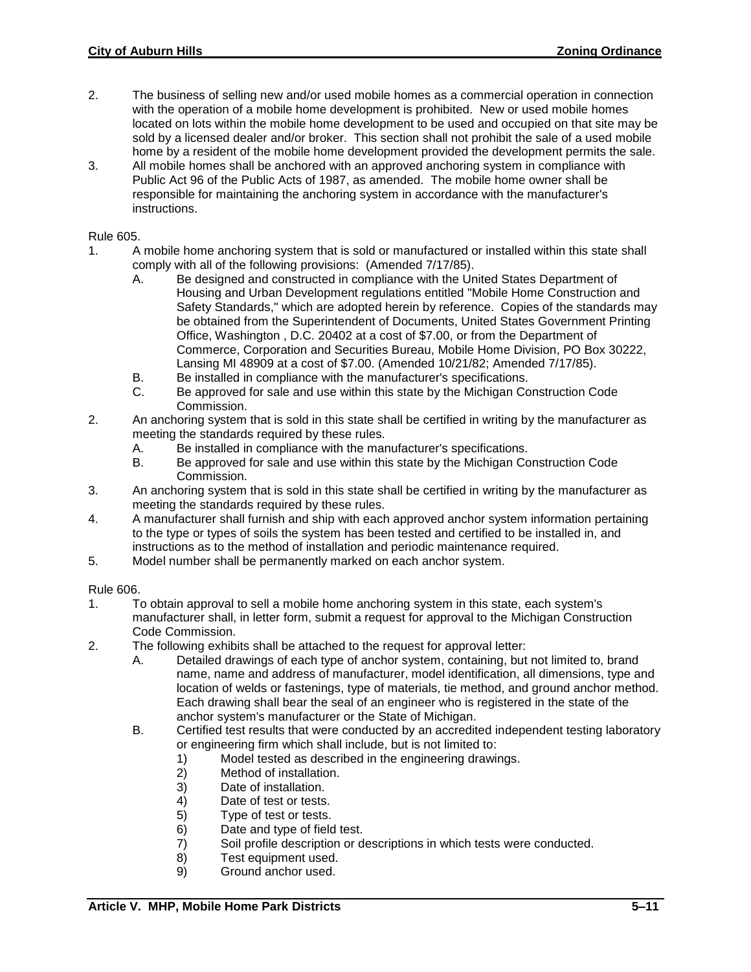- 2. The business of selling new and/or used mobile homes as a commercial operation in connection with the operation of a mobile home development is prohibited. New or used mobile homes located on lots within the mobile home development to be used and occupied on that site may be sold by a licensed dealer and/or broker. This section shall not prohibit the sale of a used mobile home by a resident of the mobile home development provided the development permits the sale.
- 3. All mobile homes shall be anchored with an approved anchoring system in compliance with Public Act 96 of the Public Acts of 1987, as amended. The mobile home owner shall be responsible for maintaining the anchoring system in accordance with the manufacturer's instructions.

#### Rule 605.

- 1. A mobile home anchoring system that is sold or manufactured or installed within this state shall comply with all of the following provisions: (Amended 7/17/85).
	- A. Be designed and constructed in compliance with the United States Department of Housing and Urban Development regulations entitled "Mobile Home Construction and Safety Standards," which are adopted herein by reference. Copies of the standards may be obtained from the Superintendent of Documents, United States Government Printing Office, Washington , D.C. 20402 at a cost of \$7.00, or from the Department of Commerce, Corporation and Securities Bureau, Mobile Home Division, PO Box 30222, Lansing MI 48909 at a cost of \$7.00. (Amended 10/21/82; Amended 7/17/85).
	- B. Be installed in compliance with the manufacturer's specifications.
	- C. Be approved for sale and use within this state by the Michigan Construction Code Commission.
- 2. An anchoring system that is sold in this state shall be certified in writing by the manufacturer as meeting the standards required by these rules.
	- A. Be installed in compliance with the manufacturer's specifications.
	- B. Be approved for sale and use within this state by the Michigan Construction Code Commission.
- 3. An anchoring system that is sold in this state shall be certified in writing by the manufacturer as meeting the standards required by these rules.
- 4. A manufacturer shall furnish and ship with each approved anchor system information pertaining to the type or types of soils the system has been tested and certified to be installed in, and instructions as to the method of installation and periodic maintenance required.
- 5. Model number shall be permanently marked on each anchor system.

#### Rule 606.

- 1. To obtain approval to sell a mobile home anchoring system in this state, each system's manufacturer shall, in letter form, submit a request for approval to the Michigan Construction Code Commission.
- 2. The following exhibits shall be attached to the request for approval letter:
	- A. Detailed drawings of each type of anchor system, containing, but not limited to, brand name, name and address of manufacturer, model identification, all dimensions, type and location of welds or fastenings, type of materials, tie method, and ground anchor method. Each drawing shall bear the seal of an engineer who is registered in the state of the anchor system's manufacturer or the State of Michigan.
	- B. Certified test results that were conducted by an accredited independent testing laboratory or engineering firm which shall include, but is not limited to:
		- 1) Model tested as described in the engineering drawings.
		- 2) Method of installation.
		- 3) Date of installation.
		- 4) Date of test or tests.
		- 5) Type of test or tests.
		- 6) Date and type of field test.
		- 7) Soil profile description or descriptions in which tests were conducted.
		- 8) Test equipment used.
		- 9) Ground anchor used.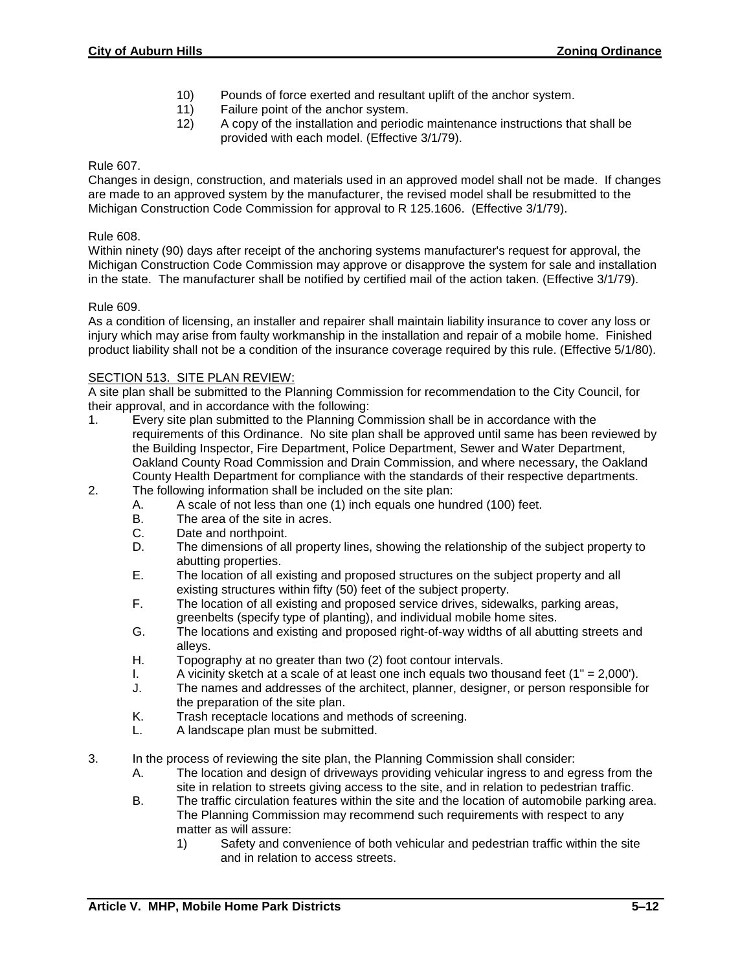- 10) Pounds of force exerted and resultant uplift of the anchor system.
- 11) Failure point of the anchor system.
- 12) A copy of the installation and periodic maintenance instructions that shall be provided with each model. (Effective 3/1/79).

# Rule 607.

Changes in design, construction, and materials used in an approved model shall not be made. If changes are made to an approved system by the manufacturer, the revised model shall be resubmitted to the Michigan Construction Code Commission for approval to R 125.1606. (Effective 3/1/79).

# Rule 608.

Within ninety (90) days after receipt of the anchoring systems manufacturer's request for approval, the Michigan Construction Code Commission may approve or disapprove the system for sale and installation in the state. The manufacturer shall be notified by certified mail of the action taken. (Effective 3/1/79).

# Rule 609.

As a condition of licensing, an installer and repairer shall maintain liability insurance to cover any loss or injury which may arise from faulty workmanship in the installation and repair of a mobile home. Finished product liability shall not be a condition of the insurance coverage required by this rule. (Effective 5/1/80).

# SECTION 513. SITE PLAN REVIEW:

A site plan shall be submitted to the Planning Commission for recommendation to the City Council, for their approval, and in accordance with the following:

- 1. Every site plan submitted to the Planning Commission shall be in accordance with the requirements of this Ordinance. No site plan shall be approved until same has been reviewed by the Building Inspector, Fire Department, Police Department, Sewer and Water Department, Oakland County Road Commission and Drain Commission, and where necessary, the Oakland County Health Department for compliance with the standards of their respective departments.
- 2. The following information shall be included on the site plan:
	- A. A scale of not less than one (1) inch equals one hundred (100) feet.
	- B. The area of the site in acres.
	- C. Date and northpoint.
	- D. The dimensions of all property lines, showing the relationship of the subject property to abutting properties.
	- E. The location of all existing and proposed structures on the subject property and all existing structures within fifty (50) feet of the subject property.
	- F. The location of all existing and proposed service drives, sidewalks, parking areas, greenbelts (specify type of planting), and individual mobile home sites.
	- G. The locations and existing and proposed right-of-way widths of all abutting streets and alleys.
	- H. Topography at no greater than two (2) foot contour intervals.
	- I. A vicinity sketch at a scale of at least one inch equals two thousand feet  $(1" = 2,000')$ .<br>J. The names and addresses of the architect, planner, designer, or person responsible for
	- The names and addresses of the architect, planner, designer, or person responsible for the preparation of the site plan.
	- K. Trash receptacle locations and methods of screening.
	- L. A landscape plan must be submitted.
- 3. In the process of reviewing the site plan, the Planning Commission shall consider:
	- A. The location and design of driveways providing vehicular ingress to and egress from the site in relation to streets giving access to the site, and in relation to pedestrian traffic.
	- B. The traffic circulation features within the site and the location of automobile parking area. The Planning Commission may recommend such requirements with respect to any matter as will assure:
		- 1) Safety and convenience of both vehicular and pedestrian traffic within the site and in relation to access streets.